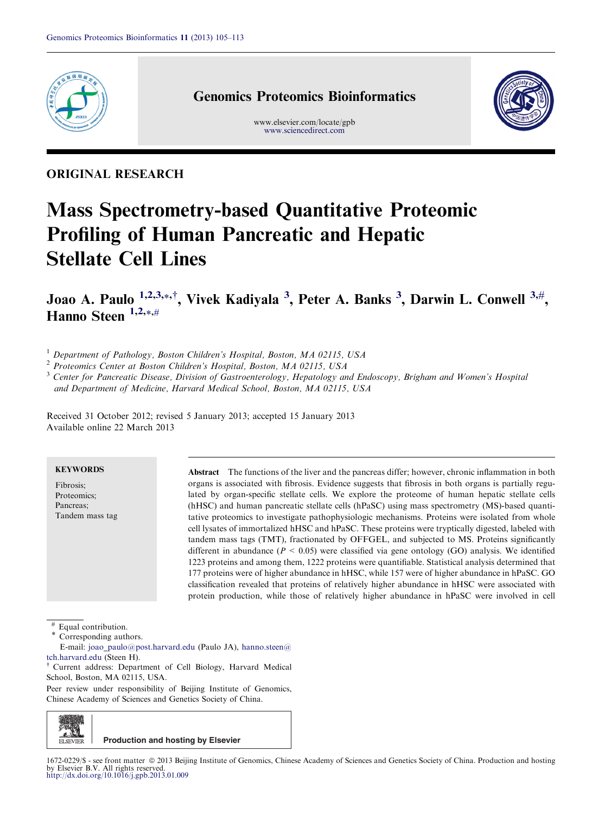

# Genomics Proteomics Bioinformatics

www.elsevier.com/locate/gpb [www.sciencedirect.com](http://www.sciencedirect.com)



# ORIGINAL RESEARCH

# Mass Spectrometry-based Quantitative Proteomic Profiling of Human Pancreatic and Hepatic Stellate Cell Lines

Joao A. Paulo  $1,2,3,*,\dagger$ , Vivek Kadiyala <sup>3</sup>, Peter A. Banks <sup>3</sup>, Darwin L. Conwell  $^{3,\#}$ , Hanno Steen <sup>1,2,\*,#</sup>

<sup>1</sup> Department of Pathology, Boston Children's Hospital, Boston, MA 02115, USA

<sup>2</sup> Proteomics Center at Boston Children's Hospital, Boston, MA 02115, USA

<sup>3</sup> Center for Pancreatic Disease, Division of Gastroenterology, Hepatology and Endoscopy, Brigham and Women's Hospital and Department of Medicine, Harvard Medical School, Boston, MA 02115, USA

Received 31 October 2012; revised 5 January 2013; accepted 15 January 2013 Available online 22 March 2013

# **KEYWORDS**

Fibrosis; Proteomics; Pancreas; Tandem mass tag Abstract The functions of the liver and the pancreas differ; however, chronic inflammation in both organs is associated with fibrosis. Evidence suggests that fibrosis in both organs is partially regulated by organ-specific stellate cells. We explore the proteome of human hepatic stellate cells (hHSC) and human pancreatic stellate cells (hPaSC) using mass spectrometry (MS)-based quantitative proteomics to investigate pathophysiologic mechanisms. Proteins were isolated from whole cell lysates of immortalized hHSC and hPaSC. These proteins were tryptically digested, labeled with tandem mass tags (TMT), fractionated by OFFGEL, and subjected to MS. Proteins significantly different in abundance ( $P < 0.05$ ) were classified via gene ontology (GO) analysis. We identified 1223 proteins and among them, 1222 proteins were quantifiable. Statistical analysis determined that 177 proteins were of higher abundance in hHSC, while 157 were of higher abundance in hPaSC. GO classification revealed that proteins of relatively higher abundance in hHSC were associated with protein production, while those of relatively higher abundance in hPaSC were involved in cell

Equal contribution.

Corresponding authors.

- E-mail: [joao\\_paulo@post.harvard.edu](mailto:joao_paulo@post.harvard.edu) (Paulo JA), [hanno.steen@](mailto:hanno.steen@ tch.harvard.edu) [tch.harvard.edu](mailto:hanno.steen@ tch.harvard.edu) (Steen H).
- - Current address: Department of Cell Biology, Harvard Medical School, Boston, MA 02115, USA.

Peer review under responsibility of Beijing Institute of Genomics, Chinese Academy of Sciences and Genetics Society of China.



<sup>1672-0229/\$ -</sup> see front matter @ 2013 Beijing Institute of Genomics, Chinese Academy of Sciences and Genetics Society of China. Production and hosting by Elsevier B.V. All rights reserved. <http://dx.doi.org/10.1016/j.gpb.2013.01.009>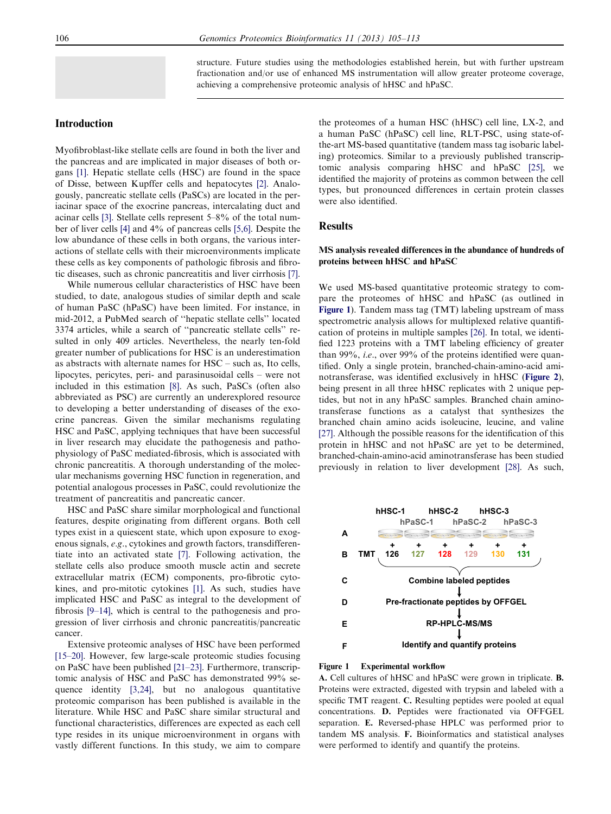structure. Future studies using the methodologies established herein, but with further upstream fractionation and/or use of enhanced MS instrumentation will allow greater proteome coverage, achieving a comprehensive proteomic analysis of hHSC and hPaSC.

### <span id="page-1-0"></span>Introduction

Myofibroblast-like stellate cells are found in both the liver and the pancreas and are implicated in major diseases of both organs [\[1\]](#page-6-0). Hepatic stellate cells (HSC) are found in the space of Disse, between Kupffer cells and hepatocytes [\[2\].](#page-6-0) Analogously, pancreatic stellate cells (PaSCs) are located in the periacinar space of the exocrine pancreas, intercalating duct and acinar cells [\[3\].](#page-6-0) Stellate cells represent 5–8% of the total number of liver cells [\[4\]](#page-6-0) and 4% of pancreas cells [\[5,6\]](#page-6-0). Despite the low abundance of these cells in both organs, the various interactions of stellate cells with their microenvironments implicate these cells as key components of pathologic fibrosis and fibrotic diseases, such as chronic pancreatitis and liver cirrhosis [\[7\]](#page-6-0).

While numerous cellular characteristics of HSC have been studied, to date, analogous studies of similar depth and scale of human PaSC (hPaSC) have been limited. For instance, in mid-2012, a PubMed search of ''hepatic stellate cells'' located 3374 articles, while a search of ''pancreatic stellate cells'' resulted in only 409 articles. Nevertheless, the nearly ten-fold greater number of publications for HSC is an underestimation as abstracts with alternate names for HSC – such as, Ito cells, lipocytes, pericytes, peri- and parasinusoidal cells – were not included in this estimation [\[8\].](#page-6-0) As such, PaSCs (often also abbreviated as PSC) are currently an underexplored resource to developing a better understanding of diseases of the exocrine pancreas. Given the similar mechanisms regulating HSC and PaSC, applying techniques that have been successful in liver research may elucidate the pathogenesis and pathophysiology of PaSC mediated-fibrosis, which is associated with chronic pancreatitis. A thorough understanding of the molecular mechanisms governing HSC function in regeneration, and potential analogous processes in PaSC, could revolutionize the treatment of pancreatitis and pancreatic cancer.

HSC and PaSC share similar morphological and functional features, despite originating from different organs. Both cell types exist in a quiescent state, which upon exposure to exogenous signals, e.g., cytokines and growth factors, transdifferentiate into an activated state [\[7\]](#page-6-0). Following activation, the stellate cells also produce smooth muscle actin and secrete extracellular matrix (ECM) components, pro-fibrotic cytokines, and pro-mitotic cytokines [\[1\].](#page-6-0) As such, studies have implicated HSC and PaSC as integral to the development of fibrosis [\[9–14\],](#page-7-0) which is central to the pathogenesis and progression of liver cirrhosis and chronic pancreatitis/pancreatic cancer.

Extensive proteomic analyses of HSC have been performed [\[15–20\]](#page-7-0). However, few large-scale proteomic studies focusing on PaSC have been published [\[21–23\].](#page-7-0) Furthermore, transcriptomic analysis of HSC and PaSC has demonstrated 99% se-quence identity [\[3,24\],](#page-6-0) but no analogous quantitative proteomic comparison has been published is available in the literature. While HSC and PaSC share similar structural and functional characteristics, differences are expected as each cell type resides in its unique microenvironment in organs with vastly different functions. In this study, we aim to compare

the proteomes of a human HSC (hHSC) cell line, LX-2, and a human PaSC (hPaSC) cell line, RLT-PSC, using state-ofthe-art MS-based quantitative (tandem mass tag isobaric labeling) proteomics. Similar to a previously published transcriptomic analysis comparing hHSC and hPaSC [\[25\]](#page-7-0), we identified the majority of proteins as common between the cell types, but pronounced differences in certain protein classes were also identified.

# Results

#### MS analysis revealed differences in the abundance of hundreds of proteins between hHSC and hPaSC

We used MS-based quantitative proteomic strategy to compare the proteomes of hHSC and hPaSC (as outlined in Figure 1). Tandem mass tag (TMT) labeling upstream of mass spectrometric analysis allows for multiplexed relative quantification of proteins in multiple samples [\[26\].](#page-7-0) In total, we identified 1223 proteins with a TMT labeling efficiency of greater than 99%, i.e., over 99% of the proteins identified were quantified. Only a single protein, branched-chain-amino-acid aminotransferase, was identified exclusively in hHSC ([Figure 2](#page-2-0)), being present in all three hHSC replicates with 2 unique peptides, but not in any hPaSC samples. Branched chain aminotransferase functions as a catalyst that synthesizes the branched chain amino acids isoleucine, leucine, and valine [\[27\].](#page-7-0) Although the possible reasons for the identification of this protein in hHSC and not hPaSC are yet to be determined, branched-chain-amino-acid aminotransferase has been studied previously in relation to liver development [\[28\].](#page-7-0) As such,



#### Figure 1 Experimental workflow

A. Cell cultures of hHSC and hPaSC were grown in triplicate. B. Proteins were extracted, digested with trypsin and labeled with a specific TMT reagent. C. Resulting peptides were pooled at equal concentrations. D. Peptides were fractionated via OFFGEL separation. E. Reversed-phase HPLC was performed prior to tandem MS analysis. F. Bioinformatics and statistical analyses were performed to identify and quantify the proteins.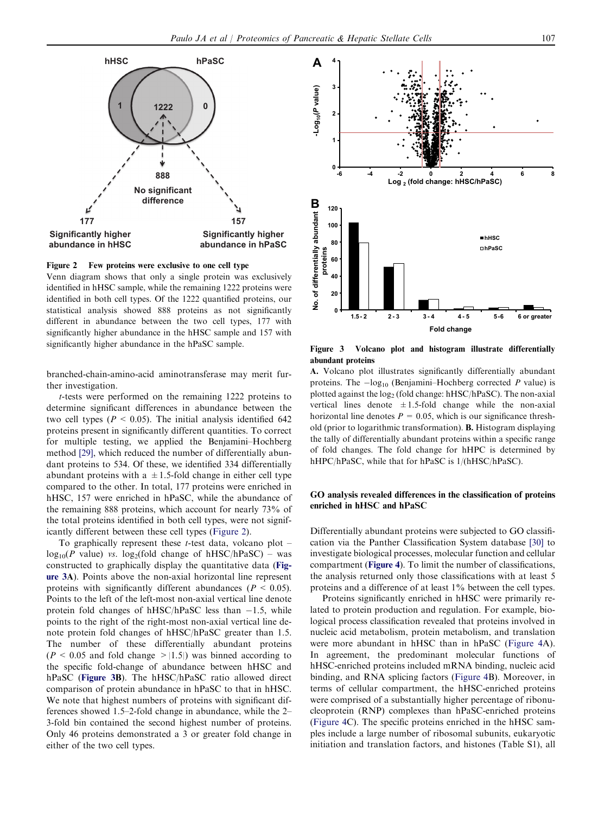<span id="page-2-0"></span>

Figure 2 Few proteins were exclusive to one cell type

Venn diagram shows that only a single protein was exclusively identified in hHSC sample, while the remaining 1222 proteins were identified in both cell types. Of the 1222 quantified proteins, our statistical analysis showed 888 proteins as not significantly different in abundance between the two cell types, 177 with significantly higher abundance in the hHSC sample and 157 with significantly higher abundance in the hPaSC sample.

branched-chain-amino-acid aminotransferase may merit further investigation.

t-tests were performed on the remaining 1222 proteins to determine significant differences in abundance between the two cell types ( $P < 0.05$ ). The initial analysis identified 642 proteins present in significantly different quantities. To correct for multiple testing, we applied the Benjamini–Hochberg method [\[29\],](#page-7-0) which reduced the number of differentially abundant proteins to 534. Of these, we identified 334 differentially abundant proteins with a  $\pm$  1.5-fold change in either cell type compared to the other. In total, 177 proteins were enriched in hHSC, 157 were enriched in hPaSC, while the abundance of the remaining 888 proteins, which account for nearly 73% of the total proteins identified in both cell types, were not significantly different between these cell types (Figure 2).

To graphically represent these  $t$ -test data, volcano plot –  $log_{10}(P \text{ value})$  vs.  $log_2(fold \text{ change of hHSC/hPaSC})$  – was constructed to graphically display the quantitative data (Figure 3A). Points above the non-axial horizontal line represent proteins with significantly different abundances ( $P < 0.05$ ). Points to the left of the left-most non-axial vertical line denote protein fold changes of  $h$ HSC/hPaSC less than  $-1.5$ , while points to the right of the right-most non-axial vertical line denote protein fold changes of hHSC/hPaSC greater than 1.5. The number of these differentially abundant proteins  $(P \leq 0.05$  and fold change  $\geq |1.5|$ ) was binned according to the specific fold-change of abundance between hHSC and hPaSC (Figure 3B). The hHSC/hPaSC ratio allowed direct comparison of protein abundance in hPaSC to that in hHSC. We note that highest numbers of proteins with significant differences showed 1.5–2-fold change in abundance, while the 2– 3-fold bin contained the second highest number of proteins. Only 46 proteins demonstrated a 3 or greater fold change in either of the two cell types.



Figure 3 Volcano plot and histogram illustrate differentially abundant proteins

A. Volcano plot illustrates significantly differentially abundant proteins. The  $-\log_{10}$  (Benjamini–Hochberg corrected P value) is plotted against the  $log_2$  (fold change: hHSC/hPaSC). The non-axial vertical lines denote  $\pm$  1.5-fold change while the non-axial horizontal line denotes  $P = 0.05$ , which is our significance threshold (prior to logarithmic transformation). B. Histogram displaying the tally of differentially abundant proteins within a specific range of fold changes. The fold change for hHPC is determined by hHPC/hPaSC, while that for hPaSC is 1/(hHSC/hPaSC).

### GO analysis revealed differences in the classification of proteins enriched in hHSC and hPaSC

Differentially abundant proteins were subjected to GO classification via the Panther Classification System database [\[30\]](#page-7-0) to investigate biological processes, molecular function and cellular compartment ([Figure 4](#page-3-0)). To limit the number of classifications, the analysis returned only those classifications with at least 5 proteins and a difference of at least 1% between the cell types.

Proteins significantly enriched in hHSC were primarily related to protein production and regulation. For example, biological process classification revealed that proteins involved in nucleic acid metabolism, protein metabolism, and translation were more abundant in hHSC than in hPaSC [\(Figure 4](#page-3-0)A). In agreement, the predominant molecular functions of hHSC-enriched proteins included mRNA binding, nucleic acid binding, and RNA splicing factors [\(Figure 4](#page-3-0)B). Moreover, in terms of cellular compartment, the hHSC-enriched proteins were comprised of a substantially higher percentage of ribonucleoprotein (RNP) complexes than hPaSC-enriched proteins [\(Figure 4](#page-3-0)C). The specific proteins enriched in the hHSC samples include a large number of ribosomal subunits, eukaryotic initiation and translation factors, and histones (Table S1), all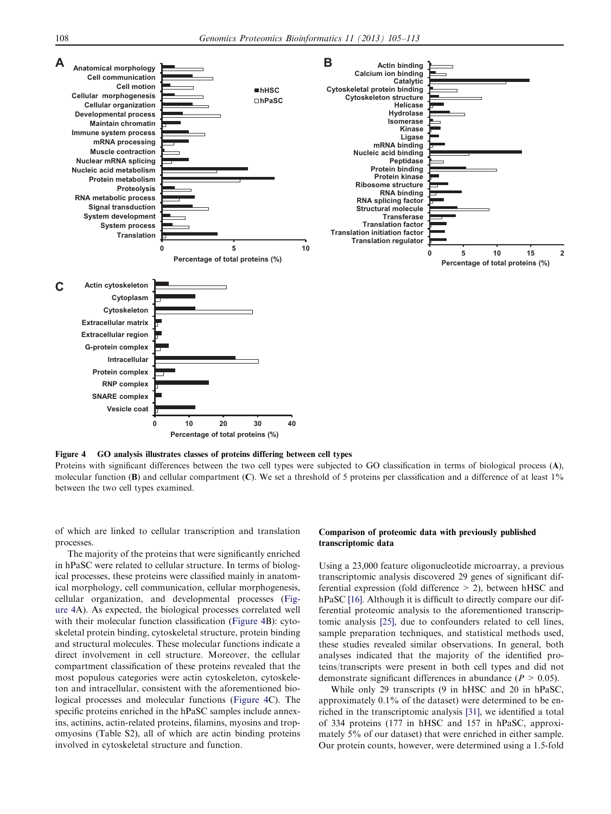<span id="page-3-0"></span>

Figure 4 GO analysis illustrates classes of proteins differing between cell types

Proteins with significant differences between the two cell types were subjected to GO classification in terms of biological process (A), molecular function (B) and cellular compartment (C). We set a threshold of 5 proteins per classification and a difference of at least 1% between the two cell types examined.

of which are linked to cellular transcription and translation processes.

The majority of the proteins that were significantly enriched in hPaSC were related to cellular structure. In terms of biological processes, these proteins were classified mainly in anatomical morphology, cell communication, cellular morphogenesis, cellular organization, and developmental processes (Figure 4A). As expected, the biological processes correlated well with their molecular function classification (Figure 4B): cytoskeletal protein binding, cytoskeletal structure, protein binding and structural molecules. These molecular functions indicate a direct involvement in cell structure. Moreover, the cellular compartment classification of these proteins revealed that the most populous categories were actin cytoskeleton, cytoskeleton and intracellular, consistent with the aforementioned biological processes and molecular functions (Figure 4C). The specific proteins enriched in the hPaSC samples include annexins, actinins, actin-related proteins, filamins, myosins and tropomyosins (Table S2), all of which are actin binding proteins involved in cytoskeletal structure and function.

### Comparison of proteomic data with previously published transcriptomic data

Using a 23,000 feature oligonucleotide microarray, a previous transcriptomic analysis discovered 29 genes of significant differential expression (fold difference > 2), between hHSC and hPaSC [\[16\]](#page-7-0). Although it is difficult to directly compare our differential proteomic analysis to the aforementioned transcriptomic analysis [\[25\]](#page-7-0), due to confounders related to cell lines, sample preparation techniques, and statistical methods used, these studies revealed similar observations. In general, both analyses indicated that the majority of the identified proteins/transcripts were present in both cell types and did not demonstrate significant differences in abundance ( $P > 0.05$ ).

While only 29 transcripts (9 in hHSC and 20 in hPaSC, approximately 0.1% of the dataset) were determined to be enriched in the transcriptomic analysis [\[31\],](#page-7-0) we identified a total of 334 proteins (177 in hHSC and 157 in hPaSC, approximately 5% of our dataset) that were enriched in either sample. Our protein counts, however, were determined using a 1.5-fold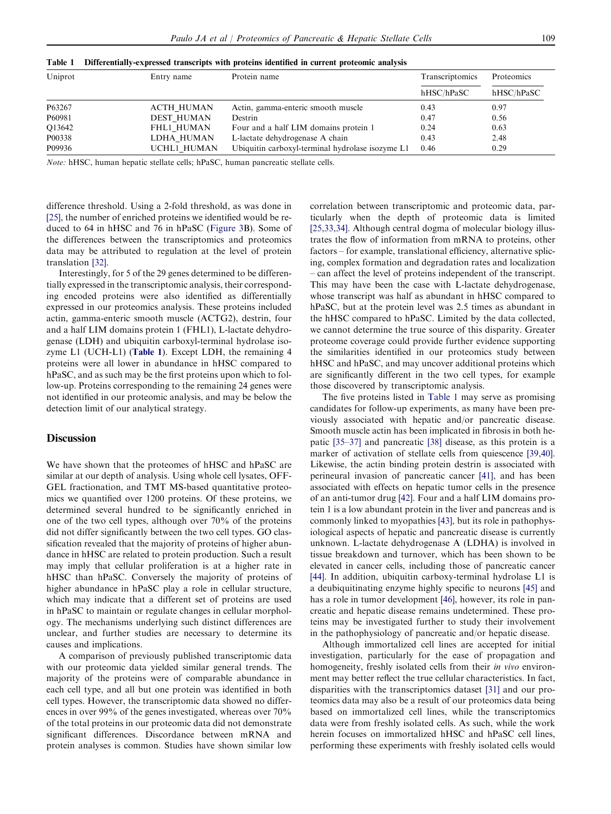| I<br>I<br>×<br>۰,<br>v |  |  |  |
|------------------------|--|--|--|
|------------------------|--|--|--|

| Uniprot | Entry name        | Protein name                                     | Transcriptomics | Proteomics |  |
|---------|-------------------|--------------------------------------------------|-----------------|------------|--|
|         |                   |                                                  | hHSC/hPaSC      | hHSC/hPaSC |  |
| P63267  | <b>ACTH HUMAN</b> | Actin, gamma-enteric smooth muscle               | 0.43            | 0.97       |  |
| P60981  | <b>DEST HUMAN</b> | Destrin                                          | 0.47            | 0.56       |  |
| Q13642  | FHL1 HUMAN        | Four and a half LIM domains protein 1            | 0.24            | 0.63       |  |
| P00338  | LDHA HUMAN        | L-lactate dehydrogenase A chain                  | 0.43            | 2.48       |  |
| P09936  | UCHL1 HUMAN       | Ubiquitin carboxyl-terminal hydrolase isozyme L1 | 0.46            | 0.29       |  |

|  | Table 1 Differentially-expressed transcripts with proteins identified in current proteomic analysis |  |  |  |  |
|--|-----------------------------------------------------------------------------------------------------|--|--|--|--|
|--|-----------------------------------------------------------------------------------------------------|--|--|--|--|

Note: hHSC, human hepatic stellate cells; hPaSC, human pancreatic stellate cells.

difference threshold. Using a 2-fold threshold, as was done in [\[25\]](#page-7-0), the number of enriched proteins we identified would be reduced to 64 in hHSC and 76 in hPaSC ([Figure 3B](#page-2-0)). Some of the differences between the transcriptomics and proteomics data may be attributed to regulation at the level of protein translation [\[32\].](#page-7-0)

Interestingly, for 5 of the 29 genes determined to be differentially expressed in the transcriptomic analysis, their corresponding encoded proteins were also identified as differentially expressed in our proteomics analysis. These proteins included actin, gamma-enteric smooth muscle (ACTG2), destrin, four and a half LIM domains protein 1 (FHL1), L-lactate dehydrogenase (LDH) and ubiquitin carboxyl-terminal hydrolase isozyme L1 (UCH-L1) (Table 1). Except LDH, the remaining 4 proteins were all lower in abundance in hHSC compared to hPaSC, and as such may be the first proteins upon which to follow-up. Proteins corresponding to the remaining 24 genes were not identified in our proteomic analysis, and may be below the detection limit of our analytical strategy.

# **Discussion**

We have shown that the proteomes of hHSC and hPaSC are similar at our depth of analysis. Using whole cell lysates, OFF-GEL fractionation, and TMT MS-based quantitative proteomics we quantified over 1200 proteins. Of these proteins, we determined several hundred to be significantly enriched in one of the two cell types, although over 70% of the proteins did not differ significantly between the two cell types. GO classification revealed that the majority of proteins of higher abundance in hHSC are related to protein production. Such a result may imply that cellular proliferation is at a higher rate in hHSC than hPaSC. Conversely the majority of proteins of higher abundance in hPaSC play a role in cellular structure, which may indicate that a different set of proteins are used in hPaSC to maintain or regulate changes in cellular morphology. The mechanisms underlying such distinct differences are unclear, and further studies are necessary to determine its causes and implications.

A comparison of previously published transcriptomic data with our proteomic data yielded similar general trends. The majority of the proteins were of comparable abundance in each cell type, and all but one protein was identified in both cell types. However, the transcriptomic data showed no differences in over 99% of the genes investigated, whereas over 70% of the total proteins in our proteomic data did not demonstrate significant differences. Discordance between mRNA and protein analyses is common. Studies have shown similar low correlation between transcriptomic and proteomic data, particularly when the depth of proteomic data is limited [\[25,33,34\]](#page-7-0). Although central dogma of molecular biology illustrates the flow of information from mRNA to proteins, other factors – for example, translational efficiency, alternative splicing, complex formation and degradation rates and localization – can affect the level of proteins independent of the transcript. This may have been the case with L-lactate dehydrogenase, whose transcript was half as abundant in hHSC compared to hPaSC, but at the protein level was 2.5 times as abundant in the hHSC compared to hPaSC. Limited by the data collected, we cannot determine the true source of this disparity. Greater proteome coverage could provide further evidence supporting the similarities identified in our proteomics study between hHSC and hPaSC, and may uncover additional proteins which are significantly different in the two cell types, for example those discovered by transcriptomic analysis.

The five proteins listed in Table 1 may serve as promising candidates for follow-up experiments, as many have been previously associated with hepatic and/or pancreatic disease. Smooth muscle actin has been implicated in fibrosis in both hepatic [\[35–37\]](#page-7-0) and pancreatic [\[38\]](#page-7-0) disease, as this protein is a marker of activation of stellate cells from quiescence [\[39,40\]](#page-7-0). Likewise, the actin binding protein destrin is associated with perineural invasion of pancreatic cancer [\[41\]](#page-7-0), and has been associated with effects on hepatic tumor cells in the presence of an anti-tumor drug [\[42\]](#page-7-0). Four and a half LIM domains protein 1 is a low abundant protein in the liver and pancreas and is commonly linked to myopathies [\[43\]](#page-7-0), but its role in pathophysiological aspects of hepatic and pancreatic disease is currently unknown. L-lactate dehydrogenase A (LDHA) is involved in tissue breakdown and turnover, which has been shown to be elevated in cancer cells, including those of pancreatic cancer [\[44\]](#page-7-0). In addition, ubiquitin carboxy-terminal hydrolase L1 is a deubiquitinating enzyme highly specific to neurons [\[45\]](#page-7-0) and has a role in tumor development [\[46\]](#page-7-0), however, its role in pancreatic and hepatic disease remains undetermined. These proteins may be investigated further to study their involvement in the pathophysiology of pancreatic and/or hepatic disease.

Although immortalized cell lines are accepted for initial investigation, particularly for the ease of propagation and homogeneity, freshly isolated cells from their *in vivo* environment may better reflect the true cellular characteristics. In fact, disparities with the transcriptomics dataset [\[31\]](#page-7-0) and our proteomics data may also be a result of our proteomics data being based on immortalized cell lines, while the transcriptomics data were from freshly isolated cells. As such, while the work herein focuses on immortalized hHSC and hPaSC cell lines, performing these experiments with freshly isolated cells would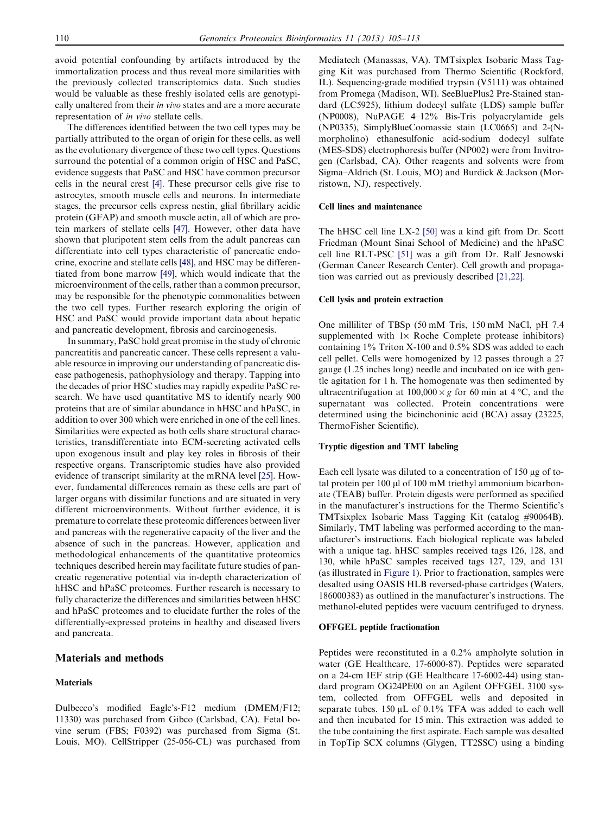avoid potential confounding by artifacts introduced by the immortalization process and thus reveal more similarities with the previously collected transcriptomics data. Such studies would be valuable as these freshly isolated cells are genotypically unaltered from their in vivo states and are a more accurate representation of in vivo stellate cells.

The differences identified between the two cell types may be partially attributed to the organ of origin for these cells, as well as the evolutionary divergence of these two cell types. Questions surround the potential of a common origin of HSC and PaSC, evidence suggests that PaSC and HSC have common precursor cells in the neural crest [\[4\]](#page-6-0). These precursor cells give rise to astrocytes, smooth muscle cells and neurons. In intermediate stages, the precursor cells express nestin, glial fibrillary acidic protein (GFAP) and smooth muscle actin, all of which are protein markers of stellate cells [\[47\]](#page-7-0). However, other data have shown that pluripotent stem cells from the adult pancreas can differentiate into cell types characteristic of pancreatic endocrine, exocrine and stellate cells [\[48\],](#page-7-0) and HSC may be differentiated from bone marrow [\[49\]](#page-8-0), which would indicate that the microenvironment of the cells, rather than a common precursor, may be responsible for the phenotypic commonalities between the two cell types. Further research exploring the origin of HSC and PaSC would provide important data about hepatic and pancreatic development, fibrosis and carcinogenesis.

In summary, PaSC hold great promise in the study of chronic pancreatitis and pancreatic cancer. These cells represent a valuable resource in improving our understanding of pancreatic disease pathogenesis, pathophysiology and therapy. Tapping into the decades of prior HSC studies may rapidly expedite PaSC research. We have used quantitative MS to identify nearly 900 proteins that are of similar abundance in hHSC and hPaSC, in addition to over 300 which were enriched in one of the cell lines. Similarities were expected as both cells share structural characteristics, transdifferentiate into ECM-secreting activated cells upon exogenous insult and play key roles in fibrosis of their respective organs. Transcriptomic studies have also provided evidence of transcript similarity at the mRNA level [\[25\]](#page-7-0). However, fundamental differences remain as these cells are part of larger organs with dissimilar functions and are situated in very different microenvironments. Without further evidence, it is premature to correlate these proteomic differences between liver and pancreas with the regenerative capacity of the liver and the absence of such in the pancreas. However, application and methodological enhancements of the quantitative proteomics techniques described herein may facilitate future studies of pancreatic regenerative potential via in-depth characterization of hHSC and hPaSC proteomes. Further research is necessary to fully characterize the differences and similarities between hHSC and hPaSC proteomes and to elucidate further the roles of the differentially-expressed proteins in healthy and diseased livers and pancreata.

# Materials and methods

#### Materials

Dulbecco's modified Eagle's-F12 medium (DMEM/F12; 11330) was purchased from Gibco (Carlsbad, CA). Fetal bovine serum (FBS; F0392) was purchased from Sigma (St. Louis, MO). CellStripper (25-056-CL) was purchased from

Mediatech (Manassas, VA). TMTsixplex Isobaric Mass Tagging Kit was purchased from Thermo Scientific (Rockford, IL). Sequencing-grade modified trypsin (V5111) was obtained from Promega (Madison, WI). SeeBluePlus2 Pre-Stained standard (LC5925), lithium dodecyl sulfate (LDS) sample buffer (NP0008), NuPAGE 4–12% Bis-Tris polyacrylamide gels (NP0335), SimplyBlueCoomassie stain (LC0665) and 2-(Nmorpholino) ethanesulfonic acid-sodium dodecyl sulfate (MES-SDS) electrophoresis buffer (NP002) were from Invitrogen (Carlsbad, CA). Other reagents and solvents were from Sigma–Aldrich (St. Louis, MO) and Burdick & Jackson (Morristown, NJ), respectively.

#### Cell lines and maintenance

The hHSC cell line LX-2 [\[50\]](#page-8-0) was a kind gift from Dr. Scott Friedman (Mount Sinai School of Medicine) and the hPaSC cell line RLT-PSC [\[51\]](#page-8-0) was a gift from Dr. Ralf Jesnowski (German Cancer Research Center). Cell growth and propagation was carried out as previously described [\[21,22\].](#page-7-0)

#### Cell lysis and protein extraction

One milliliter of TBSp (50 mM Tris, 150 mM NaCl, pH 7.4 supplemented with  $1 \times$  Roche Complete protease inhibitors) containing 1% Triton X-100 and 0.5% SDS was added to each cell pellet. Cells were homogenized by 12 passes through a 27 gauge (1.25 inches long) needle and incubated on ice with gentle agitation for 1 h. The homogenate was then sedimented by ultracentrifugation at  $100,000 \times g$  for 60 min at 4 °C, and the supernatant was collected. Protein concentrations were determined using the bicinchoninic acid (BCA) assay (23225, ThermoFisher Scientific).

# Tryptic digestion and TMT labeling

Each cell lysate was diluted to a concentration of  $150 \mu g$  of total protein per 100 µl of 100 mM triethyl ammonium bicarbonate (TEAB) buffer. Protein digests were performed as specified in the manufacturer's instructions for the Thermo Scientific's TMTsixplex Isobaric Mass Tagging Kit (catalog #90064B). Similarly, TMT labeling was performed according to the manufacturer's instructions. Each biological replicate was labeled with a unique tag. hHSC samples received tags 126, 128, and 130, while hPaSC samples received tags 127, 129, and 131 (as illustrated in [Figure 1\)](#page-1-0). Prior to fractionation, samples were desalted using OASIS HLB reversed-phase cartridges (Waters, 186000383) as outlined in the manufacturer's instructions. The methanol-eluted peptides were vacuum centrifuged to dryness.

#### OFFGEL peptide fractionation

Peptides were reconstituted in a 0.2% ampholyte solution in water (GE Healthcare, 17-6000-87). Peptides were separated on a 24-cm IEF strip (GE Healthcare 17-6002-44) using standard program OG24PE00 on an Agilent OFFGEL 3100 system, collected from OFFGEL wells and deposited in separate tubes. 150  $\mu$ L of 0.1% TFA was added to each well and then incubated for 15 min. This extraction was added to the tube containing the first aspirate. Each sample was desalted in TopTip SCX columns (Glygen, TT2SSC) using a binding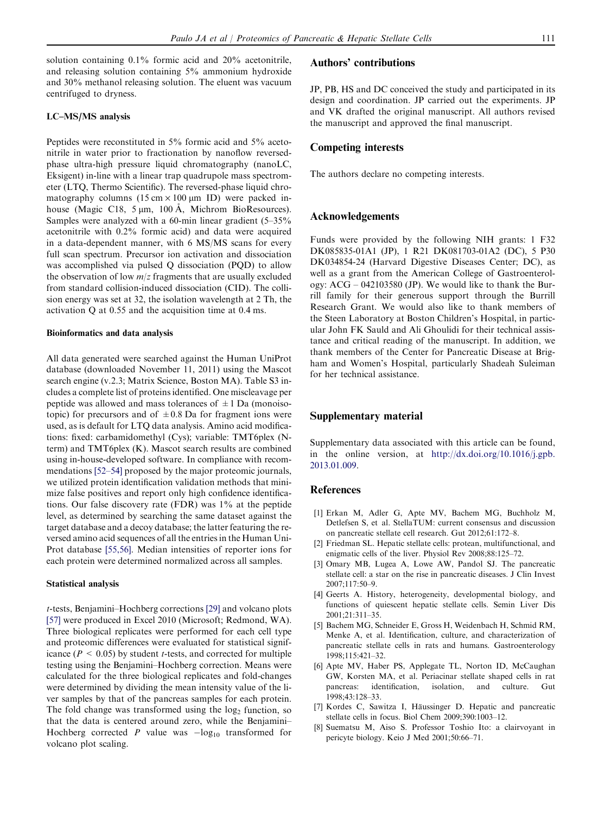#### <span id="page-6-0"></span>LC–MS/MS analysis

Peptides were reconstituted in 5% formic acid and 5% acetonitrile in water prior to fractionation by nanoflow reversedphase ultra-high pressure liquid chromatography (nanoLC, Eksigent) in-line with a linear trap quadrupole mass spectrometer (LTQ, Thermo Scientific). The reversed-phase liquid chromatography columns  $(15 \text{ cm} \times 100 \text{ }\mu\text{m} \text{ } ID)$  were packed inhouse (Magic C18,  $5 \mu m$ , 100 A<sup> $\AA$ </sup>, Michrom BioResources). Samples were analyzed with a 60-min linear gradient (5–35% acetonitrile with 0.2% formic acid) and data were acquired in a data-dependent manner, with 6 MS/MS scans for every full scan spectrum. Precursor ion activation and dissociation was accomplished via pulsed Q dissociation (PQD) to allow the observation of low  $m/z$  fragments that are usually excluded from standard collision-induced dissociation (CID). The collision energy was set at 32, the isolation wavelength at 2 Th, the activation Q at 0.55 and the acquisition time at 0.4 ms.

#### Bioinformatics and data analysis

All data generated were searched against the Human UniProt database (downloaded November 11, 2011) using the Mascot search engine (v.2.3; Matrix Science, Boston MA). Table S3 includes a complete list of proteins identified. One miscleavage per peptide was allowed and mass tolerances of  $\pm 1$  Da (monoisotopic) for precursors and of  $\pm 0.8$  Da for fragment ions were used, as is default for LTQ data analysis. Amino acid modifications: fixed: carbamidomethyl (Cys); variable: TMT6plex (Nterm) and TMT6plex (K). Mascot search results are combined using in-house-developed software. In compliance with recommendations [\[52–54\]](#page-8-0) proposed by the major proteomic journals, we utilized protein identification validation methods that minimize false positives and report only high confidence identifications. Our false discovery rate (FDR) was 1% at the peptide level, as determined by searching the same dataset against the target database and a decoy database; the latter featuring the reversed amino acid sequences of all the entries in the Human Uni-Prot database [\[55,56\].](#page-8-0) Median intensities of reporter ions for each protein were determined normalized across all samples.

#### Statistical analysis

t-tests, Benjamini–Hochberg corrections [\[29\]](#page-7-0) and volcano plots [\[57\]](#page-8-0) were produced in Excel 2010 (Microsoft; Redmond, WA). Three biological replicates were performed for each cell type and proteomic differences were evaluated for statistical significance ( $P < 0.05$ ) by student *t*-tests, and corrected for multiple testing using the Benjamini–Hochberg correction. Means were calculated for the three biological replicates and fold-changes were determined by dividing the mean intensity value of the liver samples by that of the pancreas samples for each protein. The fold change was transformed using the  $log<sub>2</sub>$  function, so that the data is centered around zero, while the Benjamini– Hochberg corrected  $P$  value was  $-\log_{10}$  transformed for volcano plot scaling.

# Authors' contributions

JP, PB, HS and DC conceived the study and participated in its design and coordination. JP carried out the experiments. JP and VK drafted the original manuscript. All authors revised the manuscript and approved the final manuscript.

# Competing interests

The authors declare no competing interests.

#### Acknowledgements

Funds were provided by the following NIH grants: 1 F32 DK085835-01A1 (JP), 1 R21 DK081703-01A2 (DC), 5 P30 DK034854-24 (Harvard Digestive Diseases Center; DC), as well as a grant from the American College of Gastroenterology: ACG – 042103580 (JP). We would like to thank the Burrill family for their generous support through the Burrill Research Grant. We would also like to thank members of the Steen Laboratory at Boston Children's Hospital, in particular John FK Sauld and Ali Ghoulidi for their technical assistance and critical reading of the manuscript. In addition, we thank members of the Center for Pancreatic Disease at Brigham and Women's Hospital, particularly Shadeah Suleiman for her technical assistance.

#### Supplementary material

Supplementary data associated with this article can be found, in the online version, at [http://dx.doi.org/10.1016/j.gpb.](http://dx.doi.org/10.1016/j.gpb.2013.01.009) [2013.01.009.](http://dx.doi.org/10.1016/j.gpb.2013.01.009)

# **References**

- [1] Erkan M, Adler G, Apte MV, Bachem MG, Buchholz M, Detlefsen S, et al. StellaTUM: current consensus and discussion on pancreatic stellate cell research. Gut 2012;61:172–8.
- [2] Friedman SL. Hepatic stellate cells: protean, multifunctional, and enigmatic cells of the liver. Physiol Rev 2008;88:125–72.
- [3] Omary MB, Lugea A, Lowe AW, Pandol SJ. The pancreatic stellate cell: a star on the rise in pancreatic diseases. J Clin Invest  $2007:117:50-9$
- [4] Geerts A. History, heterogeneity, developmental biology, and functions of quiescent hepatic stellate cells. Semin Liver Dis 2001;21:311–35.
- [5] Bachem MG, Schneider E, Gross H, Weidenbach H, Schmid RM, Menke A, et al. Identification, culture, and characterization of pancreatic stellate cells in rats and humans. Gastroenterology 1998;115:421–32.
- [6] Apte MV, Haber PS, Applegate TL, Norton ID, McCaughan GW, Korsten MA, et al. Periacinar stellate shaped cells in rat pancreas: identification, isolation, and culture. Gut 1998;43:128–33.
- [7] Kordes C, Sawitza I, Häussinger D. Hepatic and pancreatic stellate cells in focus. Biol Chem 2009;390:1003–12.
- [8] Suematsu M, Aiso S. Professor Toshio Ito: a clairvoyant in pericyte biology. Keio J Med 2001;50:66–71.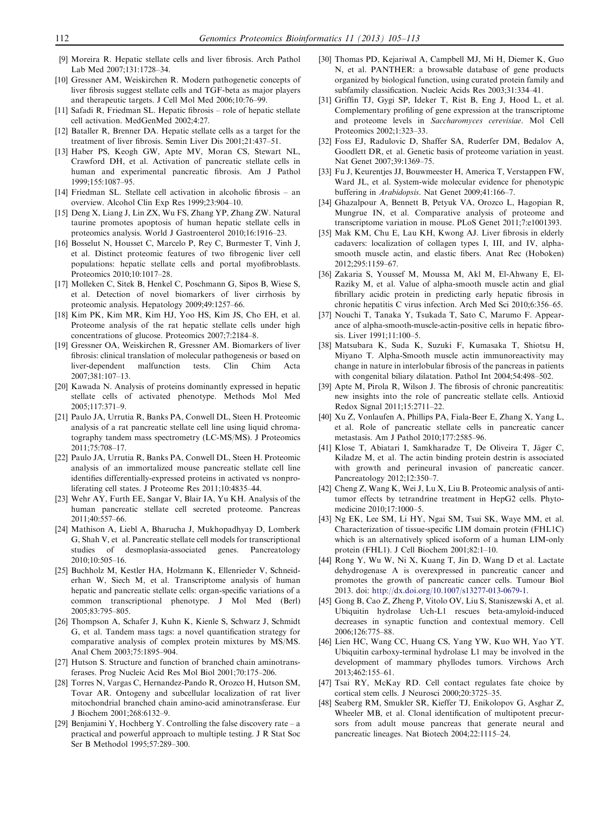- <span id="page-7-0"></span>[9] Moreira R. Hepatic stellate cells and liver fibrosis. Arch Pathol Lab Med 2007;131:1728–34.
- [10] Gressner AM, Weiskirchen R. Modern pathogenetic concepts of liver fibrosis suggest stellate cells and TGF-beta as major players and therapeutic targets. J Cell Mol Med 2006;10:76–99.
- [11] Safadi R, Friedman SL. Hepatic fibrosis role of hepatic stellate cell activation. MedGenMed 2002;4:27.
- [12] Bataller R, Brenner DA. Hepatic stellate cells as a target for the treatment of liver fibrosis. Semin Liver Dis 2001;21:437–51.
- [13] Haber PS, Keogh GW, Apte MV, Moran CS, Stewart NL, Crawford DH, et al. Activation of pancreatic stellate cells in human and experimental pancreatic fibrosis. Am J Pathol 1999;155:1087–95.
- [14] Friedman SL. Stellate cell activation in alcoholic fibrosis an overview. Alcohol Clin Exp Res 1999;23:904–10.
- [15] Deng X, Liang J, Lin ZX, Wu FS, Zhang YP, Zhang ZW. Natural taurine promotes apoptosis of human hepatic stellate cells in proteomics analysis. World J Gastroenterol 2010;16:1916–23.
- [16] Bosselut N, Housset C, Marcelo P, Rey C, Burmester T, Vinh J, et al. Distinct proteomic features of two fibrogenic liver cell populations: hepatic stellate cells and portal myofibroblasts. Proteomics 2010;10:1017–28.
- [17] Molleken C, Sitek B, Henkel C, Poschmann G, Sipos B, Wiese S, et al. Detection of novel biomarkers of liver cirrhosis by proteomic analysis. Hepatology 2009;49:1257–66.
- [18] Kim PK, Kim MR, Kim HJ, Yoo HS, Kim JS, Cho EH, et al. Proteome analysis of the rat hepatic stellate cells under high concentrations of glucose. Proteomics 2007;7:2184–8.
- [19] Gressner OA, Weiskirchen R, Gressner AM. Biomarkers of liver fibrosis: clinical translation of molecular pathogenesis or based on liver-dependent malfunction tests. Clin Chim Acta 2007;381:107–13.
- [20] Kawada N. Analysis of proteins dominantly expressed in hepatic stellate cells of activated phenotype. Methods Mol Med 2005;117:371–9.
- [21] Paulo JA, Urrutia R, Banks PA, Conwell DL, Steen H. Proteomic analysis of a rat pancreatic stellate cell line using liquid chromatography tandem mass spectrometry (LC-MS/MS). J Proteomics 2011;75:708–17.
- [22] Paulo JA, Urrutia R, Banks PA, Conwell DL, Steen H. Proteomic analysis of an immortalized mouse pancreatic stellate cell line identifies differentially-expressed proteins in activated vs nonproliferating cell states. J Proteome Res 2011;10:4835–44.
- [23] Wehr AY, Furth EE, Sangar V, Blair IA, Yu KH. Analysis of the human pancreatic stellate cell secreted proteome. Pancreas 2011;40:557–66.
- [24] Mathison A, Liebl A, Bharucha J, Mukhopadhyay D, Lomberk G, Shah V, et al. Pancreatic stellate cell models for transcriptional studies of desmoplasia-associated genes. Pancreatology 2010;10:505–16.
- [25] Buchholz M, Kestler HA, Holzmann K, Ellenrieder V, Schneiderhan W, Siech M, et al. Transcriptome analysis of human hepatic and pancreatic stellate cells: organ-specific variations of a common transcriptional phenotype. J Mol Med (Berl) 2005;83:795–805.
- [26] Thompson A, Schafer J, Kuhn K, Kienle S, Schwarz J, Schmidt G, et al. Tandem mass tags: a novel quantification strategy for comparative analysis of complex protein mixtures by MS/MS. Anal Chem 2003;75:1895–904.
- [27] Hutson S. Structure and function of branched chain aminotransferases. Prog Nucleic Acid Res Mol Biol 2001;70:175–206.
- [28] Torres N, Vargas C, Hernandez-Pando R, Orozco H, Hutson SM, Tovar AR. Ontogeny and subcellular localization of rat liver mitochondrial branched chain amino-acid aminotransferase. Eur J Biochem 2001;268:6132–9.
- [29] Benjamini Y, Hochberg Y. Controlling the false discovery rate a practical and powerful approach to multiple testing. J R Stat Soc Ser B Methodol 1995;57:289–300.
- [30] Thomas PD, Kejariwal A, Campbell MJ, Mi H, Diemer K, Guo N, et al. PANTHER: a browsable database of gene products organized by biological function, using curated protein family and subfamily classification. Nucleic Acids Res 2003;31:334–41.
- [31] Griffin TJ, Gygi SP, Ideker T, Rist B, Eng J, Hood L, et al. Complementary profiling of gene expression at the transcriptome and proteome levels in Saccharomyces cerevisiae. Mol Cell Proteomics 2002;1:323–33.
- [32] Foss EJ, Radulovic D, Shaffer SA, Ruderfer DM, Bedalov A, Goodlett DR, et al. Genetic basis of proteome variation in yeast. Nat Genet 2007;39:1369–75.
- [33] Fu J, Keurentjes JJ, Bouwmeester H, America T, Verstappen FW, Ward JL, et al. System-wide molecular evidence for phenotypic buffering in Arabidopsis. Nat Genet 2009;41:166–7.
- [34] Ghazalpour A, Bennett B, Petyuk VA, Orozco L, Hagopian R, Mungrue IN, et al. Comparative analysis of proteome and transcriptome variation in mouse. PLoS Genet 2011;7:e1001393.
- [35] Mak KM, Chu E, Lau KH, Kwong AJ. Liver fibrosis in elderly cadavers: localization of collagen types I, III, and IV, alphasmooth muscle actin, and elastic fibers. Anat Rec (Hoboken) 2012;295:1159–67.
- [36] Zakaria S, Youssef M, Moussa M, Akl M, El-Ahwany E, El-Raziky M, et al. Value of alpha-smooth muscle actin and glial fibrillary acidic protein in predicting early hepatic fibrosis in chronic hepatitis C virus infection. Arch Med Sci 2010;6:356–65.
- [37] Nouchi T, Tanaka Y, Tsukada T, Sato C, Marumo F. Appearance of alpha-smooth-muscle-actin-positive cells in hepatic fibrosis. Liver 1991;11:100–5.
- [38] Matsubara K, Suda K, Suzuki F, Kumasaka T, Shiotsu H, Miyano T. Alpha-Smooth muscle actin immunoreactivity may change in nature in interlobular fibrosis of the pancreas in patients with congenital biliary dilatation. Pathol Int 2004;54:498–502.
- [39] Apte M, Pirola R, Wilson J. The fibrosis of chronic pancreatitis: new insights into the role of pancreatic stellate cells. Antioxid Redox Signal 2011;15:2711–22.
- [40] Xu Z, Vonlaufen A, Phillips PA, Fiala-Beer E, Zhang X, Yang L, et al. Role of pancreatic stellate cells in pancreatic cancer metastasis. Am J Pathol 2010;177:2585–96.
- [41] Klose T, Abiatari I, Samkharadze T, De Oliveira T, Jäger C, Kiladze M, et al. The actin binding protein destrin is associated with growth and perineural invasion of pancreatic cancer. Pancreatology 2012;12:350–7.
- [42] Cheng Z, Wang K, Wei J, Lu X, Liu B. Proteomic analysis of antitumor effects by tetrandrine treatment in HepG2 cells. Phytomedicine 2010;17:1000–5.
- [43] Ng EK, Lee SM, Li HY, Ngai SM, Tsui SK, Waye MM, et al. Characterization of tissue-specific LIM domain protein (FHL1C) which is an alternatively spliced isoform of a human LIM-only protein (FHL1). J Cell Biochem 2001;82:1–10.
- [44] Rong Y, Wu W, Ni X, Kuang T, Jin D, Wang D et al. Lactate dehydrogenase A is overexpressed in pancreatic cancer and promotes the growth of pancreatic cancer cells. Tumour Biol 2013. doi: <http://dx.doi.org/10.1007/s13277-013-0679-1>.
- [45] Gong B, Cao Z, Zheng P, Vitolo OV, Liu S, Staniszewski A, et al. Ubiquitin hydrolase Uch-L1 rescues beta-amyloid-induced decreases in synaptic function and contextual memory. Cell 2006;126:775–88.
- [46] Lien HC, Wang CC, Huang CS, Yang YW, Kuo WH, Yao YT. Ubiquitin carboxy-terminal hydrolase L1 may be involved in the development of mammary phyllodes tumors. Virchows Arch 2013;462:155–61.
- [47] Tsai RY, McKay RD. Cell contact regulates fate choice by cortical stem cells. J Neurosci 2000;20:3725–35.
- [48] Seaberg RM, Smukler SR, Kieffer TJ, Enikolopov G, Asghar Z, Wheeler MB, et al. Clonal identification of multipotent precursors from adult mouse pancreas that generate neural and pancreatic lineages. Nat Biotech 2004;22:1115–24.